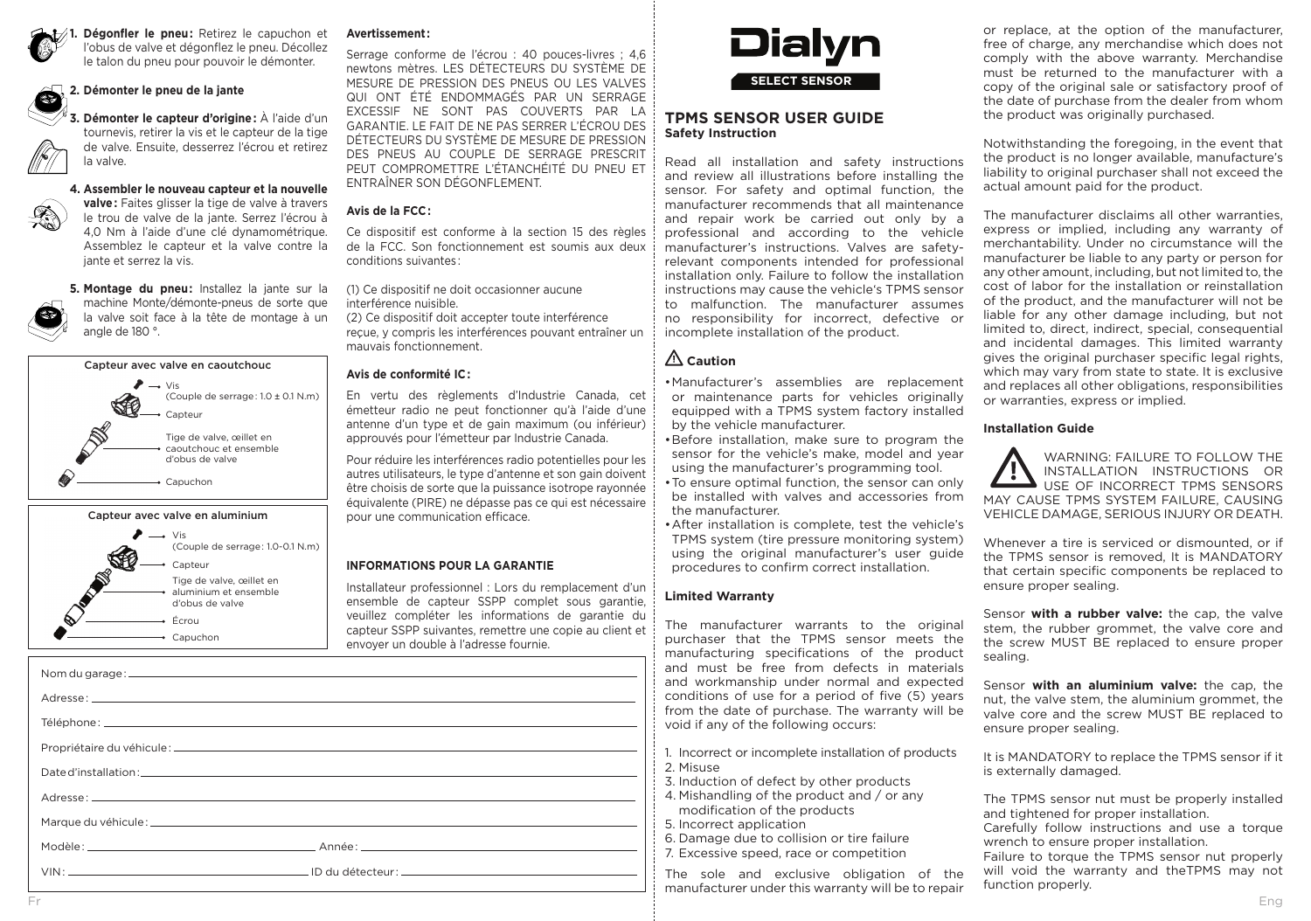

**1. Dégonfler le pneu :** Retirez le capuchon et l'obus de valve et dégonflez le pneu. Décollez le talon du pneu pour pouvoir le démonter.

#### **2. Démonter le pneu de la jante**  $\mathbb{Q}$

**3. Démonter le capteur d'origine :** À l'aide d'un tournevis, retirer la vis et le capteur de la tige de valve. Ensuite, desserrez l'écrou et retirez la valve.



**4. Assembler le nouveau capteur et la nouvelle valve :** Faites glisser la tige de valve à travers le trou de valve de la jante. Serrez l'écrou à 4,0 Nm à l'aide d'une clé dynamométrique. Assemblez le capteur et la valve contre la jante et serrez la vis.

**5. Montage du pneu :** Installez la jante sur la machine Monte/démonte-pneus de sorte que la valve soit face à la tête de montage à un angle de 180 °.





**Avertissement :**

Serrage conforme de l'écrou : 40 pouces-livres ; 4,6 newtons mètres. LES DÉTECTEURS DU SYSTÈME DE MESURE DE PRESSION DES PNEUS OU LES VALVES QUI ONT ÉTÉ ENDOMMAGÉS PAR UN SERRAGE EXCESSIF NE SONT PAS COUVERTS PAR LA GARANTIE. LE FAIT DE NE PAS SERRER L'ÉCROU DES DÉTECTEURS DU SYSTÈME DE MESURE DE PRESSION DES PNEUS AU COUPLE DE SERRAGE PRESCRIT PEUT COMPROMETTRE L'ÉTANCHÉITÉ DU PNEU ET ENTRAÎNER SON DÉGONFLEMENT.

### **Avis de la FCC :**

Ce dispositif est conforme à la section 15 des règles de la FCC. Son fonctionnement est soumis aux deux conditions suivantes :

(1) Ce dispositif ne doit occasionner aucune interférence nuisible.

(2) Ce dispositif doit accepter toute interférence reçue, y compris les interférences pouvant entraîner un mauvais fonctionnement.

### **Avis de conformité IC :**

En vertu des règlements d'Industrie Canada, cet émetteur radio ne peut fonctionner qu'à l'aide d'une antenne d'un type et de gain maximum (ou inférieur) approuvés pour l'émetteur par Industrie Canada.

Pour réduire les interférences radio potentielles pour les autres utilisateurs, le type d'antenne et son gain doivent être choisis de sorte que la puissance isotrope rayonnée équivalente (PIRE) ne dépasse pas ce qui est nécessaire pour une communication efficace.

### **INFORMATIONS POUR LA GARANTIE**

Installateur professionnel : Lors du remplacement d'un ensemble de capteur SSPP complet sous garantie, veuillez compléter les informations de garantie du capteur SSPP suivantes, remettre une copie au client et envoyer un double à l'adresse fournie.



## **TPMS SENSOR USER GUIDE Safety Instruction**

Read all installation and safety instructions and review all illustrations before installing the sensor. For safety and optimal function, the manufacturer recommends that all maintenance and repair work be carried out only by a professional and according to the vehicle manufacturer's instructions. Valves are safetyrelevant components intended for professional installation only. Failure to follow the installation instructions may cause the vehicle's TPMS sensor to malfunction. The manufacturer assumes no responsibility for incorrect, defective or incomplete installation of the product.

# **Caution**

- •Manufacturer's assemblies are replacement or maintenance parts for vehicles originally equipped with a TPMS system factory installed by the vehicle manufacturer.
- •Before installation, make sure to program the sensor for the vehicle's make, model and year using the manufacturer's programming tool.
- •To ensure optimal function, the sensor can only be installed with valves and accessories from the manufacturer.
- •After installation is complete, test the vehicle's TPMS system (tire pressure monitoring system) using the original manufacturer's user guide procedures to confirm correct installation.

### **Limited Warranty**

The manufacturer warrants to the original purchaser that the TPMS sensor meets the manufacturing specifications of the product and must be free from defects in materials and workmanship under normal and expected conditions of use for a period of five (5) years from the date of purchase. The warranty will be void if any of the following occurs:

- 1. Incorrect or incomplete installation of products 2. Misuse
- 3. Induction of defect by other products
- 4. Mishandling of the product and / or any modification of the products
- 5. Incorrect application
- 6. Damage due to collision or tire failure
- 7. Excessive speed, race or competition

The sole and exclusive obligation of the manufacturer under this warranty will be to repair or replace, at the option of the manufacturer, free of charge, any merchandise which does not comply with the above warranty. Merchandise must be returned to the manufacturer with a copy of the original sale or satisfactory proof of the date of purchase from the dealer from whom the product was originally purchased.

Notwithstanding the foregoing, in the event that the product is no longer available, manufacture's liability to original purchaser shall not exceed the actual amount paid for the product.

The manufacturer disclaims all other warranties, express or implied, including any warranty of merchantability. Under no circumstance will the manufacturer be liable to any party or person for any other amount, including, but not limited to, the cost of labor for the installation or reinstallation of the product, and the manufacturer will not be liable for any other damage including, but not limited to, direct, indirect, special, consequential and incidental damages. This limited warranty gives the original purchaser specific legal rights, which may vary from state to state. It is exclusive and replaces all other obligations, responsibilities or warranties, express or implied.

#### **Installation Guide**

WARNING: FAILURE TO FOLLOW THE INSTALLATION INSTRUCTIONS OR  $\ddot{\bullet}$ USE OF INCORRECT TPMS SENSORS MAY CAUSE TPMS SYSTEM FAILURE, CAUSING VEHICLE DAMAGE, SERIOUS INJURY OR DEATH.

Whenever a tire is serviced or dismounted, or if the TPMS sensor is removed, It is MANDATORY that certain specific components be replaced to ensure proper sealing.

Sensor **with a rubber valve:** the cap, the valve stem, the rubber grommet, the valve core and the screw MUST BE replaced to ensure proper sealing.

Sensor **with an aluminium valve:** the cap, the nut, the valve stem, the aluminium grommet, the valve core and the screw MUST BE replaced to ensure proper sealing.

It is MANDATORY to replace the TPMS sensor if it is externally damaged.

The TPMS sensor nut must be properly installed and tightened for proper installation. Carefully follow instructions and use a torque

wrench to ensure proper installation. Failure to torque the TPMS sensor nut properly

will void the warranty and theTPMS may not function properly.